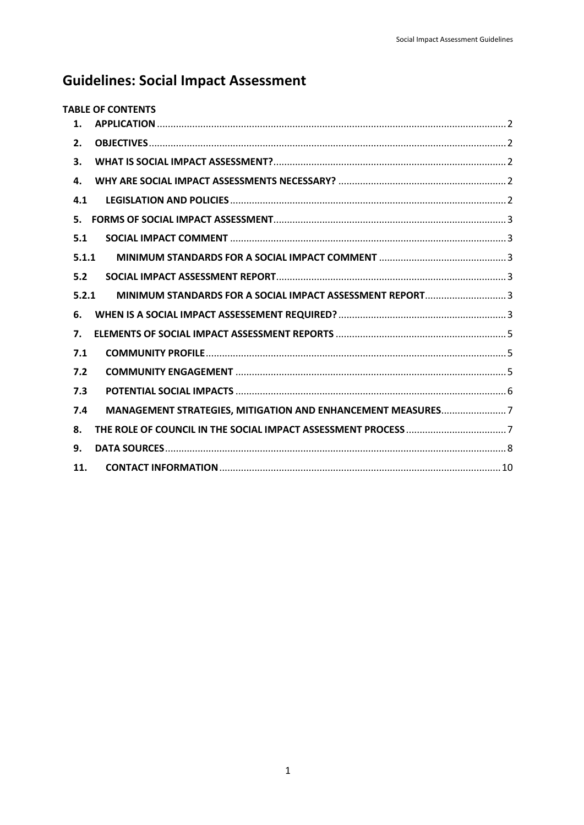# **Guidelines: Social Impact Assessment**

| <b>TABLE OF CONTENTS</b>                                           |  |
|--------------------------------------------------------------------|--|
| 1.                                                                 |  |
| 2.                                                                 |  |
| 3.                                                                 |  |
| 4.                                                                 |  |
| 4.1                                                                |  |
| 5.                                                                 |  |
| 5.1                                                                |  |
| 5.1.1                                                              |  |
| 5.2                                                                |  |
| MINIMUM STANDARDS FOR A SOCIAL IMPACT ASSESSMENT REPORT3<br>5.2.1  |  |
| 6.                                                                 |  |
| 7.                                                                 |  |
| 7.1                                                                |  |
| 7.2                                                                |  |
| 7.3                                                                |  |
| MANAGEMENT STRATEGIES, MITIGATION AND ENHANCEMENT MEASURES7<br>7.4 |  |
| 8.                                                                 |  |
| 9.                                                                 |  |
| 11.                                                                |  |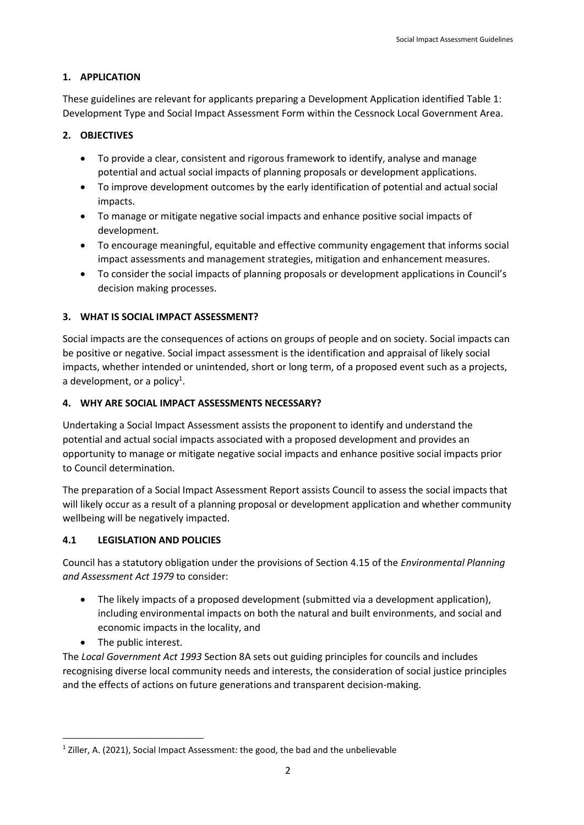### <span id="page-1-0"></span>**1. APPLICATION**

These guidelines are relevant for applicants preparing a Development Application identified [Table 1:](#page-3-0)  [Development Type and Social Impact Assessment Form](#page-3-0) within the Cessnock Local Government Area.

### <span id="page-1-1"></span>**2. OBJECTIVES**

- To provide a clear, consistent and rigorous framework to identify, analyse and manage potential and actual social impacts of planning proposals or development applications.
- To improve development outcomes by the early identification of potential and actual social impacts.
- To manage or mitigate negative social impacts and enhance positive social impacts of development.
- To encourage meaningful, equitable and effective community engagement that informs social impact assessments and management strategies, mitigation and enhancement measures.
- To consider the social impacts of planning proposals or development applications in Council's decision making processes.

#### <span id="page-1-2"></span>**3. WHAT IS SOCIAL IMPACT ASSESSMENT?**

Social impacts are the consequences of actions on groups of people and on society. Social impacts can be positive or negative. Social impact assessment is the identification and appraisal of likely social impacts, whether intended or unintended, short or long term, of a proposed event such as a projects, a development, or a policy<sup>1</sup>.

#### <span id="page-1-3"></span>**4. WHY ARE SOCIAL IMPACT ASSESSMENTS NECESSARY?**

Undertaking a Social Impact Assessment assists the proponent to identify and understand the potential and actual social impacts associated with a proposed development and provides an opportunity to manage or mitigate negative social impacts and enhance positive social impacts prior to Council determination.

The preparation of a Social Impact Assessment Report assists Council to assess the social impacts that will likely occur as a result of a planning proposal or development application and whether community wellbeing will be negatively impacted.

### <span id="page-1-4"></span>**4.1 LEGISLATION AND POLICIES**

Council has a statutory obligation under the provisions of Section 4.15 of the *Environmental Planning and Assessment Act 1979* to consider:

- The likely impacts of a proposed development (submitted via a development application), including environmental impacts on both the natural and built environments, and social and economic impacts in the locality, and
- The public interest.

 $\overline{\phantom{a}}$ 

The *Local Government Act 1993* Section 8A sets out guiding principles for councils and includes recognising diverse local community needs and interests, the consideration of social justice principles and the effects of actions on future generations and transparent decision-making.

<sup>&</sup>lt;sup>1</sup> Ziller, A. (2021), Social Impact Assessment: the good, the bad and the unbelievable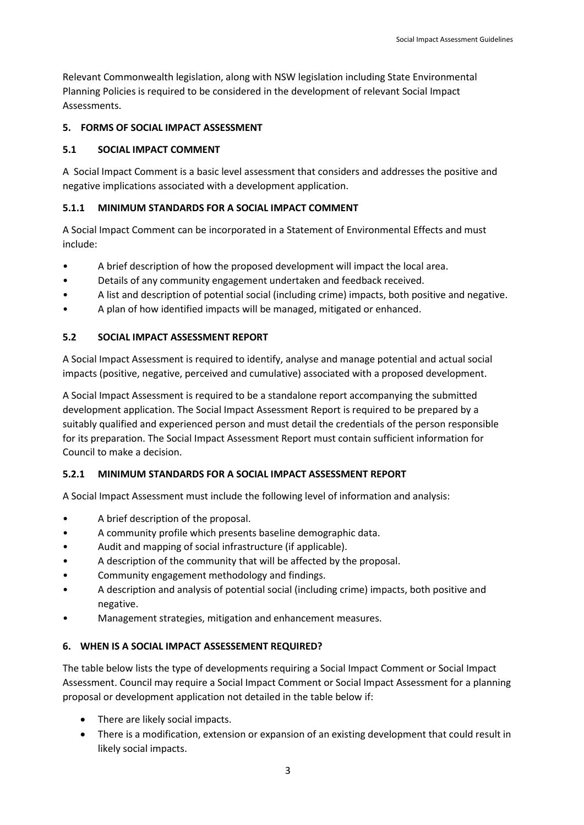Relevant Commonwealth legislation, along with NSW legislation including State Environmental Planning Policies is required to be considered in the development of relevant Social Impact Assessments.

#### <span id="page-2-0"></span>**5. FORMS OF SOCIAL IMPACT ASSESSMENT**

#### <span id="page-2-1"></span>**5.1 SOCIAL IMPACT COMMENT**

A Social Impact Comment is a basic level assessment that considers and addresses the positive and negative implications associated with a development application.

#### <span id="page-2-2"></span>**5.1.1 MINIMUM STANDARDS FOR A SOCIAL IMPACT COMMENT**

A Social Impact Comment can be incorporated in a Statement of Environmental Effects and must include:

- A brief description of how the proposed development will impact the local area.
- Details of any community engagement undertaken and feedback received.
- A list and description of potential social (including crime) impacts, both positive and negative.
- A plan of how identified impacts will be managed, mitigated or enhanced.

#### <span id="page-2-3"></span>**5.2 SOCIAL IMPACT ASSESSMENT REPORT**

A Social Impact Assessment is required to identify, analyse and manage potential and actual social impacts (positive, negative, perceived and cumulative) associated with a proposed development.

A Social Impact Assessment is required to be a standalone report accompanying the submitted development application. The Social Impact Assessment Report is required to be prepared by a suitably qualified and experienced person and must detail the credentials of the person responsible for its preparation. The Social Impact Assessment Report must contain sufficient information for Council to make a decision.

### <span id="page-2-4"></span>**5.2.1 MINIMUM STANDARDS FOR A SOCIAL IMPACT ASSESSMENT REPORT**

A Social Impact Assessment must include the following level of information and analysis:

- A brief description of the proposal.
- A community profile which presents baseline demographic data.
- Audit and mapping of social infrastructure (if applicable).
- A description of the community that will be affected by the proposal.
- Community engagement methodology and findings.
- A description and analysis of potential social (including crime) impacts, both positive and negative.
- Management strategies, mitigation and enhancement measures.

#### <span id="page-2-5"></span>**6. WHEN IS A SOCIAL IMPACT ASSESSEMENT REQUIRED?**

The table below lists the type of developments requiring a Social Impact Comment or Social Impact Assessment. Council may require a Social Impact Comment or Social Impact Assessment for a planning proposal or development application not detailed in the table below if:

- There are likely social impacts.
- There is a modification, extension or expansion of an existing development that could result in likely social impacts.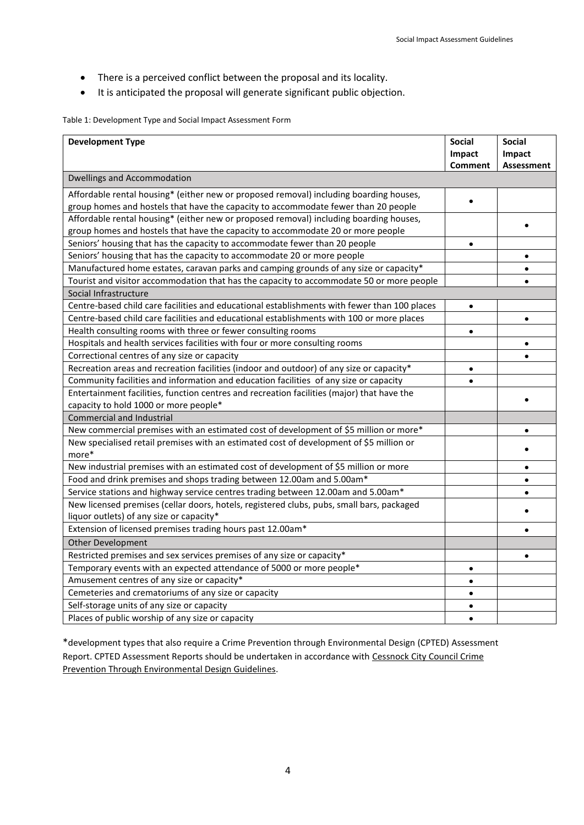- There is a perceived conflict between the proposal and its locality.
- It is anticipated the proposal will generate significant public objection.

<span id="page-3-0"></span>Table 1: Development Type and Social Impact Assessment Form

| <b>Development Type</b>                                                                          | <b>Social</b><br>Impact | <b>Social</b><br>Impact |  |
|--------------------------------------------------------------------------------------------------|-------------------------|-------------------------|--|
|                                                                                                  | <b>Comment</b>          | <b>Assessment</b>       |  |
| <b>Dwellings and Accommodation</b>                                                               |                         |                         |  |
| Affordable rental housing* (either new or proposed removal) including boarding houses,           |                         |                         |  |
| group homes and hostels that have the capacity to accommodate fewer than 20 people               |                         |                         |  |
| Affordable rental housing* (either new or proposed removal) including boarding houses,           |                         |                         |  |
| group homes and hostels that have the capacity to accommodate 20 or more people                  |                         |                         |  |
| Seniors' housing that has the capacity to accommodate fewer than 20 people                       | $\bullet$               |                         |  |
| Seniors' housing that has the capacity to accommodate 20 or more people                          |                         | $\bullet$               |  |
| Manufactured home estates, caravan parks and camping grounds of any size or capacity*            |                         |                         |  |
| Tourist and visitor accommodation that has the capacity to accommodate 50 or more people         |                         |                         |  |
| Social Infrastructure                                                                            |                         |                         |  |
| Centre-based child care facilities and educational establishments with fewer than 100 places     | $\bullet$               |                         |  |
| Centre-based child care facilities and educational establishments with 100 or more places        |                         | $\bullet$               |  |
| Health consulting rooms with three or fewer consulting rooms                                     | $\bullet$               |                         |  |
| Hospitals and health services facilities with four or more consulting rooms                      |                         | $\bullet$               |  |
| Correctional centres of any size or capacity                                                     |                         |                         |  |
| Recreation areas and recreation facilities (indoor and outdoor) of any size or capacity*         | $\bullet$               |                         |  |
| Community facilities and information and education facilities of any size or capacity            |                         |                         |  |
| Entertainment facilities, function centres and recreation facilities (major) that have the       |                         |                         |  |
| capacity to hold 1000 or more people*                                                            |                         |                         |  |
| <b>Commercial and Industrial</b>                                                                 |                         |                         |  |
| New commercial premises with an estimated cost of development of \$5 million or more*            |                         |                         |  |
| New specialised retail premises with an estimated cost of development of \$5 million or<br>more* |                         |                         |  |
| New industrial premises with an estimated cost of development of \$5 million or more             |                         |                         |  |
| Food and drink premises and shops trading between 12.00am and 5.00am*                            |                         |                         |  |
| Service stations and highway service centres trading between 12.00am and 5.00am*                 |                         |                         |  |
| New licensed premises (cellar doors, hotels, registered clubs, pubs, small bars, packaged        |                         |                         |  |
| liquor outlets) of any size or capacity*                                                         |                         |                         |  |
| Extension of licensed premises trading hours past 12.00am*                                       |                         |                         |  |
| Other Development                                                                                |                         |                         |  |
| Restricted premises and sex services premises of any size or capacity*                           |                         | $\bullet$               |  |
| Temporary events with an expected attendance of 5000 or more people*                             | $\bullet$               |                         |  |
| Amusement centres of any size or capacity*                                                       |                         |                         |  |
| Cemeteries and crematoriums of any size or capacity                                              |                         |                         |  |
| Self-storage units of any size or capacity                                                       | $\bullet$               |                         |  |
| Places of public worship of any size or capacity                                                 | $\bullet$               |                         |  |

\*development types that also require a Crime Prevention through Environmental Design (CPTED) Assessment Report. CPTED Assessment Reports should be undertaken in accordance with Cessnock City Council Crime Prevention Through Environmental Design Guidelines.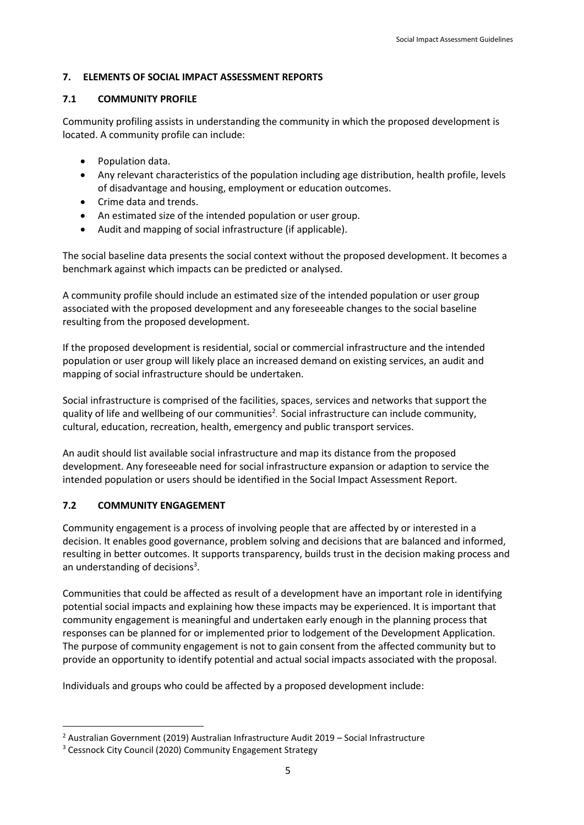#### <span id="page-4-0"></span>**7. ELEMENTS OF SOCIAL IMPACT ASSESSMENT REPORTS**

#### <span id="page-4-1"></span>**7.1 COMMUNITY PROFILE**

Community profiling assists in understanding the community in which the proposed development is located. A community profile can include:

- Population data.
- Any relevant characteristics of the population including age distribution, health profile, levels of disadvantage and housing, employment or education outcomes.
- Crime data and trends.
- An estimated size of the intended population or user group.
- Audit and mapping of social infrastructure (if applicable).

The social baseline data presents the social context without the proposed development. It becomes a benchmark against which impacts can be predicted or analysed.

A community profile should include an estimated size of the intended population or user group associated with the proposed development and any foreseeable changes to the social baseline resulting from the proposed development.

If the proposed development is residential, social or commercial infrastructure and the intended population or user group will likely place an increased demand on existing services, an audit and mapping of social infrastructure should be undertaken.

Social infrastructure is comprised of the facilities, spaces, services and networks that support the quality of life and wellbeing of our communities<sup>2</sup>. Social infrastructure can include community, cultural, education, recreation, health, emergency and public transport services.

An audit should list available social infrastructure and map its distance from the proposed development. Any foreseeable need for social infrastructure expansion or adaption to service the intended population or users should be identified in the Social Impact Assessment Report.

### <span id="page-4-2"></span>**7.2 COMMUNITY ENGAGEMENT**

 $\overline{\phantom{a}}$ 

Community engagement is a process of involving people that are affected by or interested in a decision. It enables good governance, problem solving and decisions that are balanced and informed, resulting in better outcomes. It supports transparency, builds trust in the decision making process and an understanding of decisions<sup>3</sup>.

Communities that could be affected as result of a development have an important role in identifying potential social impacts and explaining how these impacts may be experienced. It is important that community engagement is meaningful and undertaken early enough in the planning process that responses can be planned for or implemented prior to lodgement of the Development Application. The purpose of community engagement is not to gain consent from the affected community but to provide an opportunity to identify potential and actual social impacts associated with the proposal.

Individuals and groups who could be affected by a proposed development include:

<sup>2</sup> Australian Government (2019) Australian Infrastructure Audit 2019 – Social Infrastructure

<sup>&</sup>lt;sup>3</sup> Cessnock City Council (2020) Community Engagement Strategy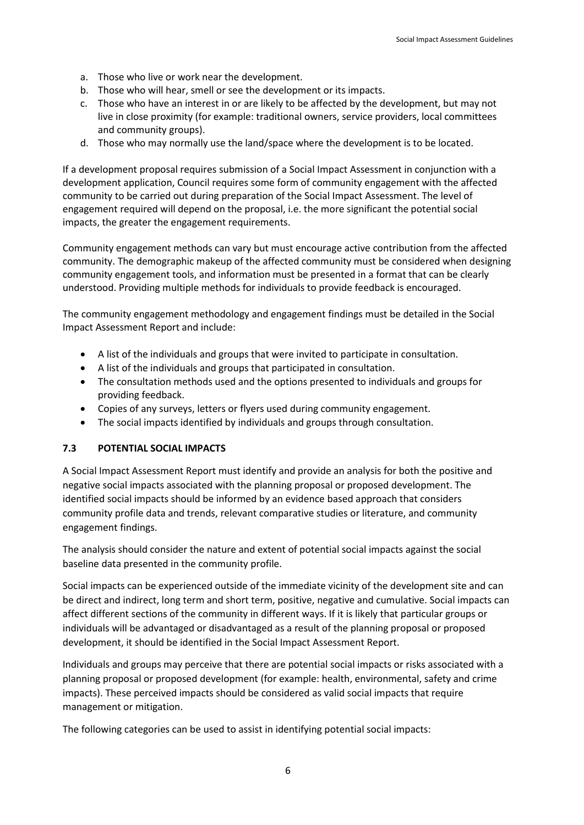- a. Those who live or work near the development.
- b. Those who will hear, smell or see the development or its impacts.
- c. Those who have an interest in or are likely to be affected by the development, but may not live in close proximity (for example: traditional owners, service providers, local committees and community groups).
- d. Those who may normally use the land/space where the development is to be located.

If a development proposal requires submission of a Social Impact Assessment in conjunction with a development application, Council requires some form of community engagement with the affected community to be carried out during preparation of the Social Impact Assessment. The level of engagement required will depend on the proposal, i.e. the more significant the potential social impacts, the greater the engagement requirements.

Community engagement methods can vary but must encourage active contribution from the affected community. The demographic makeup of the affected community must be considered when designing community engagement tools, and information must be presented in a format that can be clearly understood. Providing multiple methods for individuals to provide feedback is encouraged.

The community engagement methodology and engagement findings must be detailed in the Social Impact Assessment Report and include:

- A list of the individuals and groups that were invited to participate in consultation.
- A list of the individuals and groups that participated in consultation.
- The consultation methods used and the options presented to individuals and groups for providing feedback.
- Copies of any surveys, letters or flyers used during community engagement.
- The social impacts identified by individuals and groups through consultation.

#### <span id="page-5-0"></span>**7.3 POTENTIAL SOCIAL IMPACTS**

A Social Impact Assessment Report must identify and provide an analysis for both the positive and negative social impacts associated with the planning proposal or proposed development. The identified social impacts should be informed by an evidence based approach that considers community profile data and trends, relevant comparative studies or literature, and community engagement findings.

The analysis should consider the nature and extent of potential social impacts against the social baseline data presented in the community profile.

Social impacts can be experienced outside of the immediate vicinity of the development site and can be direct and indirect, long term and short term, positive, negative and cumulative. Social impacts can affect different sections of the community in different ways. If it is likely that particular groups or individuals will be advantaged or disadvantaged as a result of the planning proposal or proposed development, it should be identified in the Social Impact Assessment Report.

Individuals and groups may perceive that there are potential social impacts or risks associated with a planning proposal or proposed development (for example: health, environmental, safety and crime impacts). These perceived impacts should be considered as valid social impacts that require management or mitigation.

The following categories can be used to assist in identifying potential social impacts: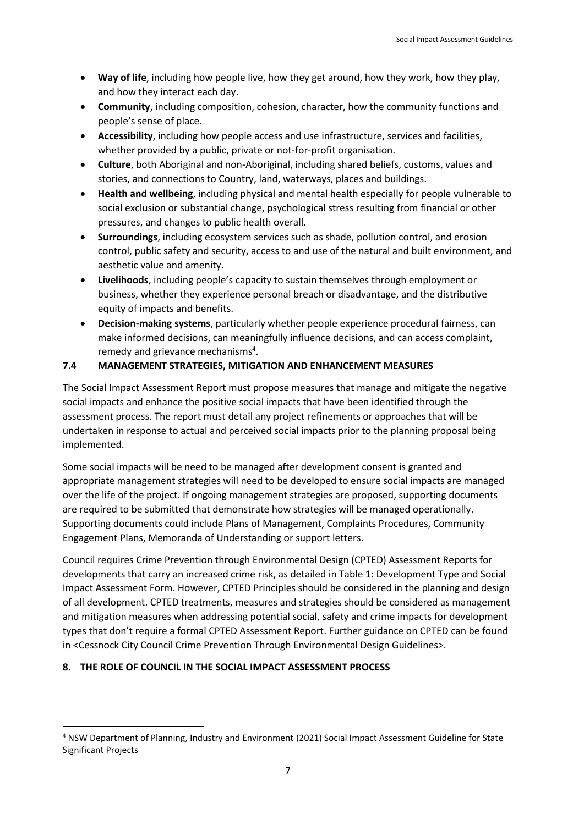- **Way of life**, including how people live, how they get around, how they work, how they play, and how they interact each day.
- **Community**, including composition, cohesion, character, how the community functions and people's sense of place.
- **Accessibility**, including how people access and use infrastructure, services and facilities, whether provided by a public, private or not-for-profit organisation.
- **Culture**, both Aboriginal and non-Aboriginal, including shared beliefs, customs, values and stories, and connections to Country, land, waterways, places and buildings.
- **Health and wellbeing**, including physical and mental health especially for people vulnerable to social exclusion or substantial change, psychological stress resulting from financial or other pressures, and changes to public health overall.
- **Surroundings**, including ecosystem services such as shade, pollution control, and erosion control, public safety and security, access to and use of the natural and built environment, and aesthetic value and amenity.
- **Livelihoods**, including people's capacity to sustain themselves through employment or business, whether they experience personal breach or disadvantage, and the distributive equity of impacts and benefits.
- **Decision-making systems**, particularly whether people experience procedural fairness, can make informed decisions, can meaningfully influence decisions, and can access complaint, remedy and grievance mechanisms<sup>4</sup>.

## <span id="page-6-0"></span>**7.4 MANAGEMENT STRATEGIES, MITIGATION AND ENHANCEMENT MEASURES**

The Social Impact Assessment Report must propose measures that manage and mitigate the negative social impacts and enhance the positive social impacts that have been identified through the assessment process. The report must detail any project refinements or approaches that will be undertaken in response to actual and perceived social impacts prior to the planning proposal being implemented.

Some social impacts will be need to be managed after development consent is granted and appropriate management strategies will need to be developed to ensure social impacts are managed over the life of the project. If ongoing management strategies are proposed, supporting documents are required to be submitted that demonstrate how strategies will be managed operationally. Supporting documents could include Plans of Management, Complaints Procedures, Community Engagement Plans, Memoranda of Understanding or support letters.

Council requires Crime Prevention through Environmental Design (CPTED) Assessment Reports for developments that carry an increased crime risk, as detailed in Table 1: Development Type and Social Impact Assessment Form. However, CPTED Principles should be considered in the planning and design of all development. CPTED treatments, measures and strategies should be considered as management and mitigation measures when addressing potential social, safety and crime impacts for development types that don't require a formal CPTED Assessment Report. Further guidance on CPTED can be found in <Cessnock City Council Crime Prevention Through Environmental Design Guidelines>.

# <span id="page-6-1"></span>**8. THE ROLE OF COUNCIL IN THE SOCIAL IMPACT ASSESSMENT PROCESS**

 $\overline{\phantom{a}}$ 

<sup>4</sup> NSW Department of Planning, Industry and Environment (2021) Social Impact Assessment Guideline for State Significant Projects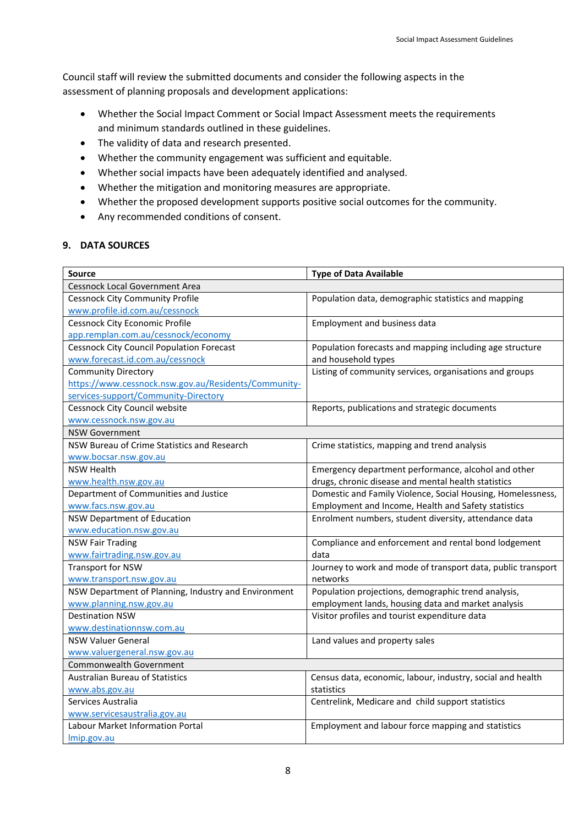Council staff will review the submitted documents and consider the following aspects in the assessment of planning proposals and development applications:

- Whether the Social Impact Comment or Social Impact Assessment meets the requirements and minimum standards outlined in these guidelines.
- The validity of data and research presented.
- Whether the community engagement was sufficient and equitable.
- Whether social impacts have been adequately identified and analysed.
- Whether the mitigation and monitoring measures are appropriate.
- Whether the proposed development supports positive social outcomes for the community.
- Any recommended conditions of consent.

### <span id="page-7-0"></span>**9. DATA SOURCES**

| <b>Source</b>                                        | <b>Type of Data Available</b>                                |  |
|------------------------------------------------------|--------------------------------------------------------------|--|
| Cessnock Local Government Area                       |                                                              |  |
| <b>Cessnock City Community Profile</b>               | Population data, demographic statistics and mapping          |  |
| www.profile.id.com.au/cessnock                       |                                                              |  |
| <b>Cessnock City Economic Profile</b>                | <b>Employment and business data</b>                          |  |
| app.remplan.com.au/cessnock/economy                  |                                                              |  |
| <b>Cessnock City Council Population Forecast</b>     | Population forecasts and mapping including age structure     |  |
| www.forecast.id.com.au/cessnock                      | and household types                                          |  |
| <b>Community Directory</b>                           | Listing of community services, organisations and groups      |  |
| https://www.cessnock.nsw.gov.au/Residents/Community- |                                                              |  |
| services-support/Community-Directory                 |                                                              |  |
| Cessnock City Council website                        | Reports, publications and strategic documents                |  |
| www.cessnock.nsw.gov.au                              |                                                              |  |
| <b>NSW Government</b>                                |                                                              |  |
| NSW Bureau of Crime Statistics and Research          | Crime statistics, mapping and trend analysis                 |  |
| www.bocsar.nsw.gov.au                                |                                                              |  |
| <b>NSW Health</b>                                    | Emergency department performance, alcohol and other          |  |
| www.health.nsw.gov.au                                | drugs, chronic disease and mental health statistics          |  |
| Department of Communities and Justice                | Domestic and Family Violence, Social Housing, Homelessness,  |  |
| www.facs.nsw.gov.au                                  | Employment and Income, Health and Safety statistics          |  |
| <b>NSW Department of Education</b>                   | Enrolment numbers, student diversity, attendance data        |  |
| www.education.nsw.gov.au                             |                                                              |  |
| <b>NSW Fair Trading</b>                              | Compliance and enforcement and rental bond lodgement         |  |
| www.fairtrading.nsw.gov.au                           | data                                                         |  |
| <b>Transport for NSW</b>                             | Journey to work and mode of transport data, public transport |  |
| www.transport.nsw.gov.au                             | networks                                                     |  |
| NSW Department of Planning, Industry and Environment | Population projections, demographic trend analysis,          |  |
| www.planning.nsw.gov.au                              | employment lands, housing data and market analysis           |  |
| <b>Destination NSW</b>                               | Visitor profiles and tourist expenditure data                |  |
| www.destinationnsw.com.au                            |                                                              |  |
| <b>NSW Valuer General</b>                            | Land values and property sales                               |  |
| www.valuergeneral.nsw.gov.au                         |                                                              |  |
| Commonwealth Government                              |                                                              |  |
| <b>Australian Bureau of Statistics</b>               | Census data, economic, labour, industry, social and health   |  |
| www.abs.gov.au                                       | statistics                                                   |  |
| Services Australia                                   | Centrelink, Medicare and child support statistics            |  |
| www.servicesaustralia.gov.au                         |                                                              |  |
| Labour Market Information Portal                     | Employment and labour force mapping and statistics           |  |
| Imip.gov.au                                          |                                                              |  |